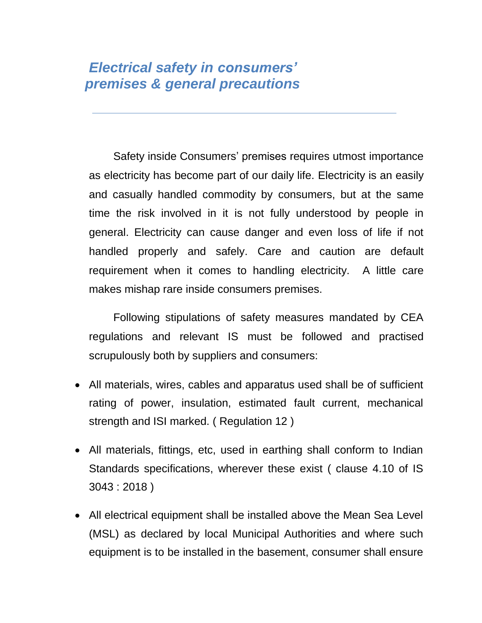## *Electrical safety in consumers' premises & general precautions*

Safety inside Consumers' premises requires utmost importance as electricity has become part of our daily life. Electricity is an easily and casually handled commodity by consumers, but at the same time the risk involved in it is not fully understood by people in general. Electricity can cause danger and even loss of life if not handled properly and safely. Care and caution are default requirement when it comes to handling electricity. A little care makes mishap rare inside consumers premises.

Following stipulations of safety measures mandated by CEA regulations and relevant IS must be followed and practised scrupulously both by suppliers and consumers:

- All materials, wires, cables and apparatus used shall be of sufficient rating of power, insulation, estimated fault current, mechanical strength and ISI marked. ( Regulation 12 )
- All materials, fittings, etc, used in earthing shall conform to Indian Standards specifications, wherever these exist ( clause 4.10 of IS 3043 : 2018 )
- All electrical equipment shall be installed above the Mean Sea Level (MSL) as declared by local Municipal Authorities and where such equipment is to be installed in the basement, consumer shall ensure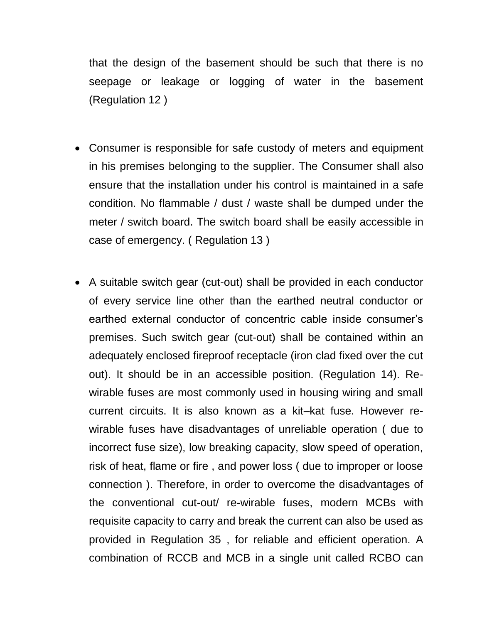that the design of the basement should be such that there is no seepage or leakage or logging of water in the basement (Regulation 12 )

- Consumer is responsible for safe custody of meters and equipment in his premises belonging to the supplier. The Consumer shall also ensure that the installation under his control is maintained in a safe condition. No flammable / dust / waste shall be dumped under the meter / switch board. The switch board shall be easily accessible in case of emergency. ( Regulation 13 )
- A suitable switch gear (cut-out) shall be provided in each conductor of every service line other than the earthed neutral conductor or earthed external conductor of concentric cable inside consumer's premises. Such switch gear (cut-out) shall be contained within an adequately enclosed fireproof receptacle (iron clad fixed over the cut out). It should be in an accessible position. (Regulation 14). Rewirable fuses are most commonly used in housing wiring and small current circuits. It is also known as a kit–kat fuse. However rewirable fuses have disadvantages of unreliable operation ( due to incorrect fuse size), low breaking capacity, slow speed of operation, risk of heat, flame or fire , and power loss ( due to improper or loose connection ). Therefore, in order to overcome the disadvantages of the conventional cut-out/ re-wirable fuses, modern MCBs with requisite capacity to carry and break the current can also be used as provided in Regulation 35 , for reliable and efficient operation. A combination of RCCB and MCB in a single unit called RCBO can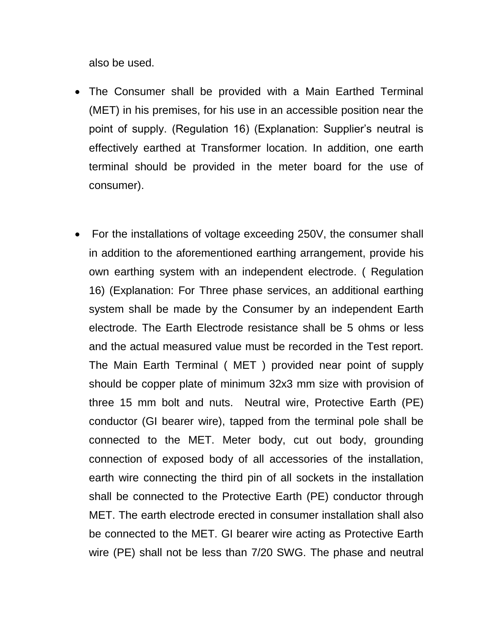also be used.

- The Consumer shall be provided with a Main Earthed Terminal (MET) in his premises, for his use in an accessible position near the point of supply. (Regulation 16) (Explanation: Supplier's neutral is effectively earthed at Transformer location. In addition, one earth terminal should be provided in the meter board for the use of consumer).
- For the installations of voltage exceeding 250V, the consumer shall in addition to the aforementioned earthing arrangement, provide his own earthing system with an independent electrode. ( Regulation 16) (Explanation: For Three phase services, an additional earthing system shall be made by the Consumer by an independent Earth electrode. The Earth Electrode resistance shall be 5 ohms or less and the actual measured value must be recorded in the Test report. The Main Earth Terminal ( MET ) provided near point of supply should be copper plate of minimum 32x3 mm size with provision of three 15 mm bolt and nuts. Neutral wire, Protective Earth (PE) conductor (GI bearer wire), tapped from the terminal pole shall be connected to the MET. Meter body, cut out body, grounding connection of exposed body of all accessories of the installation, earth wire connecting the third pin of all sockets in the installation shall be connected to the Protective Earth (PE) conductor through MET. The earth electrode erected in consumer installation shall also be connected to the MET. GI bearer wire acting as Protective Earth wire (PE) shall not be less than 7/20 SWG. The phase and neutral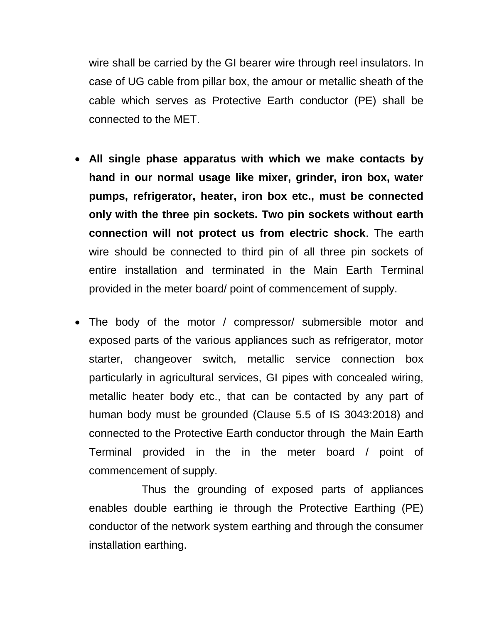wire shall be carried by the GI bearer wire through reel insulators. In case of UG cable from pillar box, the amour or metallic sheath of the cable which serves as Protective Earth conductor (PE) shall be connected to the MET.

- **All single phase apparatus with which we make contacts by hand in our normal usage like mixer, grinder, iron box, water pumps, refrigerator, heater, iron box etc., must be connected only with the three pin sockets. Two pin sockets without earth connection will not protect us from electric shock**. The earth wire should be connected to third pin of all three pin sockets of entire installation and terminated in the Main Earth Terminal provided in the meter board/ point of commencement of supply.
- The body of the motor / compressor/ submersible motor and exposed parts of the various appliances such as refrigerator, motor starter, changeover switch, metallic service connection box particularly in agricultural services, GI pipes with concealed wiring, metallic heater body etc., that can be contacted by any part of human body must be grounded (Clause 5.5 of IS 3043:2018) and connected to the Protective Earth conductor through the Main Earth Terminal provided in the in the meter board / point of commencement of supply.

Thus the grounding of exposed parts of appliances enables double earthing ie through the Protective Earthing (PE) conductor of the network system earthing and through the consumer installation earthing.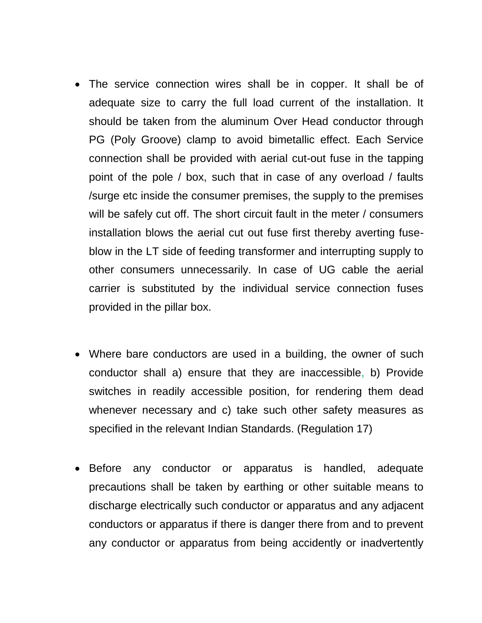- The service connection wires shall be in copper. It shall be of adequate size to carry the full load current of the installation. It should be taken from the aluminum Over Head conductor through PG (Poly Groove) clamp to avoid bimetallic effect. Each Service connection shall be provided with aerial cut-out fuse in the tapping point of the pole / box, such that in case of any overload / faults /surge etc inside the consumer premises, the supply to the premises will be safely cut off. The short circuit fault in the meter / consumers installation blows the aerial cut out fuse first thereby averting fuseblow in the LT side of feeding transformer and interrupting supply to other consumers unnecessarily. In case of UG cable the aerial carrier is substituted by the individual service connection fuses provided in the pillar box.
- Where bare conductors are used in a building, the owner of such conductor shall a) ensure that they are inaccessible, b) Provide switches in readily accessible position, for rendering them dead whenever necessary and c) take such other safety measures as specified in the relevant Indian Standards. (Regulation 17)
- Before any conductor or apparatus is handled, adequate precautions shall be taken by earthing or other suitable means to discharge electrically such conductor or apparatus and any adjacent conductors or apparatus if there is danger there from and to prevent any conductor or apparatus from being accidently or inadvertently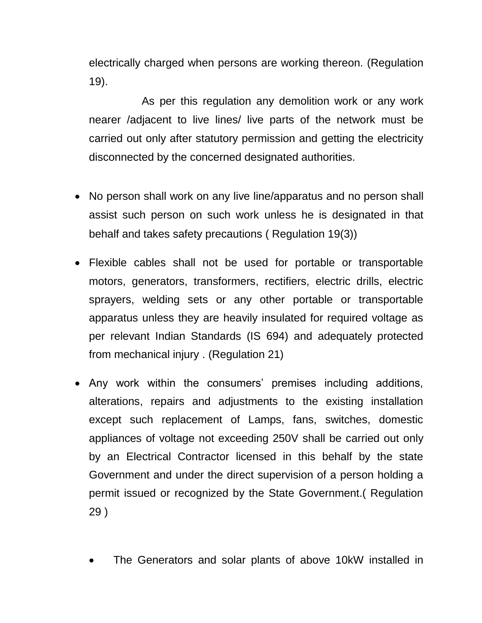electrically charged when persons are working thereon. (Regulation 19).

As per this regulation any demolition work or any work nearer /adjacent to live lines/ live parts of the network must be carried out only after statutory permission and getting the electricity disconnected by the concerned designated authorities.

- No person shall work on any live line/apparatus and no person shall assist such person on such work unless he is designated in that behalf and takes safety precautions ( Regulation 19(3))
- Flexible cables shall not be used for portable or transportable motors, generators, transformers, rectifiers, electric drills, electric sprayers, welding sets or any other portable or transportable apparatus unless they are heavily insulated for required voltage as per relevant Indian Standards (IS 694) and adequately protected from mechanical injury . (Regulation 21)
- Any work within the consumers' premises including additions, alterations, repairs and adjustments to the existing installation except such replacement of Lamps, fans, switches, domestic appliances of voltage not exceeding 250V shall be carried out only by an Electrical Contractor licensed in this behalf by the state Government and under the direct supervision of a person holding a permit issued or recognized by the State Government.( Regulation 29 )
	- The Generators and solar plants of above 10kW installed in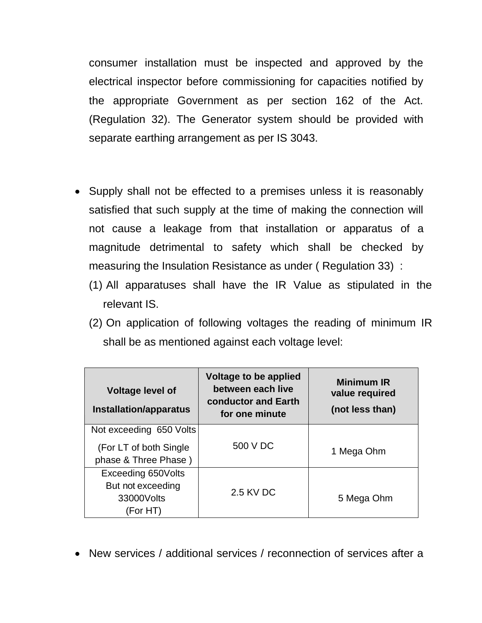consumer installation must be inspected and approved by the electrical inspector before commissioning for capacities notified by the appropriate Government as per section 162 of the Act. (Regulation 32). The Generator system should be provided with separate earthing arrangement as per IS 3043.

- Supply shall not be effected to a premises unless it is reasonably satisfied that such supply at the time of making the connection will not cause a leakage from that installation or apparatus of a magnitude detrimental to safety which shall be checked by measuring the Insulation Resistance as under ( Regulation 33) :
	- (1) All apparatuses shall have the IR Value as stipulated in the relevant IS.
	- (2) On application of following voltages the reading of minimum IR shall be as mentioned against each voltage level:

| <b>Voltage level of</b><br>Installation/apparatus                          | Voltage to be applied<br>between each live<br>conductor and Earth<br>for one minute | <b>Minimum IR</b><br>value required<br>(not less than) |
|----------------------------------------------------------------------------|-------------------------------------------------------------------------------------|--------------------------------------------------------|
| Not exceeding 650 Volts<br>(For LT of both Single)<br>phase & Three Phase) | 500 V DC                                                                            | 1 Mega Ohm                                             |
| Exceeding 650Volts<br>But not exceeding<br>33000Volts<br>(For HT)          | 2.5 KV DC                                                                           | 5 Mega Ohm                                             |

New services / additional services / reconnection of services after a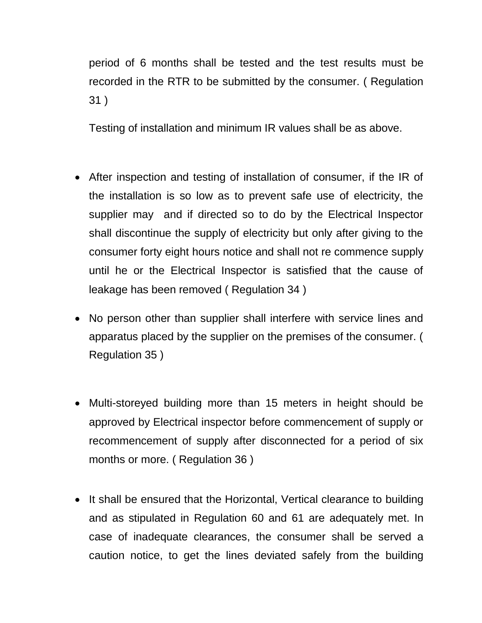period of 6 months shall be tested and the test results must be recorded in the RTR to be submitted by the consumer. ( Regulation 31 )

Testing of installation and minimum IR values shall be as above.

- After inspection and testing of installation of consumer, if the IR of the installation is so low as to prevent safe use of electricity, the supplier may and if directed so to do by the Electrical Inspector shall discontinue the supply of electricity but only after giving to the consumer forty eight hours notice and shall not re commence supply until he or the Electrical Inspector is satisfied that the cause of leakage has been removed ( Regulation 34 )
- No person other than supplier shall interfere with service lines and apparatus placed by the supplier on the premises of the consumer. ( Regulation 35 )
- Multi-storeyed building more than 15 meters in height should be approved by Electrical inspector before commencement of supply or recommencement of supply after disconnected for a period of six months or more. ( Regulation 36 )
- It shall be ensured that the Horizontal, Vertical clearance to building and as stipulated in Regulation 60 and 61 are adequately met. In case of inadequate clearances, the consumer shall be served a caution notice, to get the lines deviated safely from the building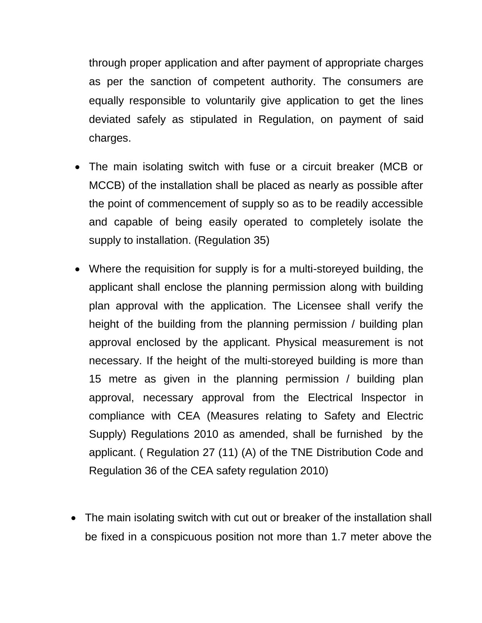through proper application and after payment of appropriate charges as per the sanction of competent authority. The consumers are equally responsible to voluntarily give application to get the lines deviated safely as stipulated in Regulation, on payment of said charges.

- The main isolating switch with fuse or a circuit breaker (MCB or MCCB) of the installation shall be placed as nearly as possible after the point of commencement of supply so as to be readily accessible and capable of being easily operated to completely isolate the supply to installation. (Regulation 35)
- Where the requisition for supply is for a multi-storeyed building, the applicant shall enclose the planning permission along with building plan approval with the application. The Licensee shall verify the height of the building from the planning permission / building plan approval enclosed by the applicant. Physical measurement is not necessary. If the height of the multi-storeyed building is more than 15 metre as given in the planning permission / building plan approval, necessary approval from the Electrical lnspector in compliance with CEA (Measures relating to Safety and Electric Supply) Regulations 2010 as amended, shall be furnished by the applicant. ( Regulation 27 (11) (A) of the TNE Distribution Code and Regulation 36 of the CEA safety regulation 2010)
- The main isolating switch with cut out or breaker of the installation shall be fixed in a conspicuous position not more than 1.7 meter above the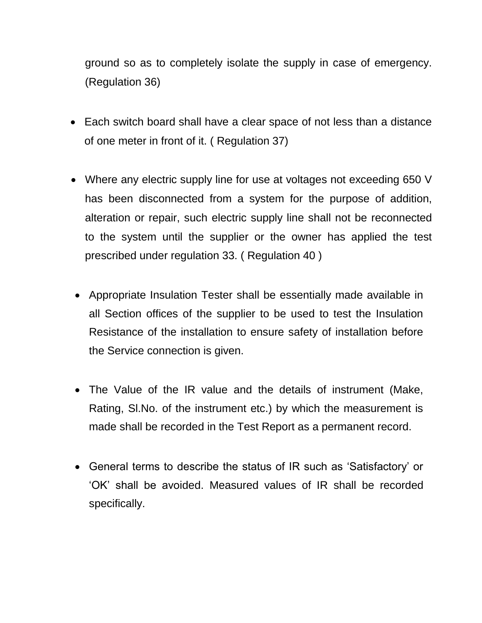ground so as to completely isolate the supply in case of emergency. (Regulation 36)

- Each switch board shall have a clear space of not less than a distance of one meter in front of it. ( Regulation 37)
- Where any electric supply line for use at voltages not exceeding 650 V has been disconnected from a system for the purpose of addition, alteration or repair, such electric supply line shall not be reconnected to the system until the supplier or the owner has applied the test prescribed under regulation 33. ( Regulation 40 )
- Appropriate Insulation Tester shall be essentially made available in all Section offices of the supplier to be used to test the Insulation Resistance of the installation to ensure safety of installation before the Service connection is given.
- The Value of the IR value and the details of instrument (Make, Rating, Sl.No. of the instrument etc.) by which the measurement is made shall be recorded in the Test Report as a permanent record.
- General terms to describe the status of IR such as 'Satisfactory' or 'OK' shall be avoided. Measured values of IR shall be recorded specifically.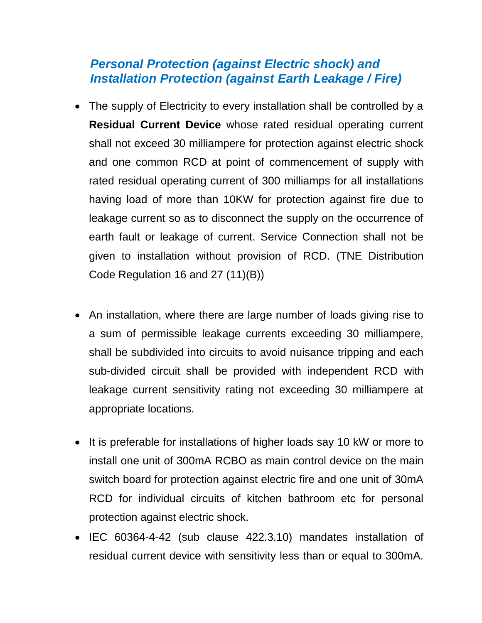## *Personal Protection (against Electric shock) and Installation Protection (against Earth Leakage / Fire)*

- The supply of Electricity to every installation shall be controlled by a **Residual Current Device** whose rated residual operating current shall not exceed 30 milliampere for protection against electric shock and one common RCD at point of commencement of supply with rated residual operating current of 300 milliamps for all installations having load of more than 10KW for protection against fire due to leakage current so as to disconnect the supply on the occurrence of earth fault or leakage of current. Service Connection shall not be given to installation without provision of RCD. (TNE Distribution Code Regulation 16 and 27 (11)(B))
- An installation, where there are large number of loads giving rise to a sum of permissible leakage currents exceeding 30 milliampere, shall be subdivided into circuits to avoid nuisance tripping and each sub-divided circuit shall be provided with independent RCD with leakage current sensitivity rating not exceeding 30 milliampere at appropriate locations.
- It is preferable for installations of higher loads say 10 kW or more to install one unit of 300mA RCBO as main control device on the main switch board for protection against electric fire and one unit of 30mA RCD for individual circuits of kitchen bathroom etc for personal protection against electric shock.
- IEC 60364-4-42 (sub clause 422.3.10) mandates installation of residual current device with sensitivity less than or equal to 300mA.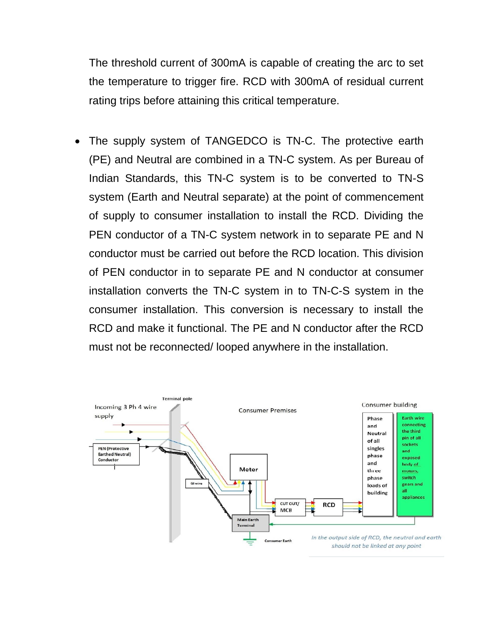The threshold current of 300mA is capable of creating the arc to set the temperature to trigger fire. RCD with 300mA of residual current rating trips before attaining this critical temperature.

 The supply system of TANGEDCO is TN-C. The protective earth (PE) and Neutral are combined in a TN-C system. As per Bureau of Indian Standards, this TN-C system is to be converted to TN-S system (Earth and Neutral separate) at the point of commencement of supply to consumer installation to install the RCD. Dividing the PEN conductor of a TN-C system network in to separate PE and N conductor must be carried out before the RCD location. This division of PEN conductor in to separate PE and N conductor at consumer installation converts the TN-C system in to TN-C-S system in the consumer installation. This conversion is necessary to install the RCD and make it functional. The PE and N conductor after the RCD must not be reconnected/ looped anywhere in the installation.

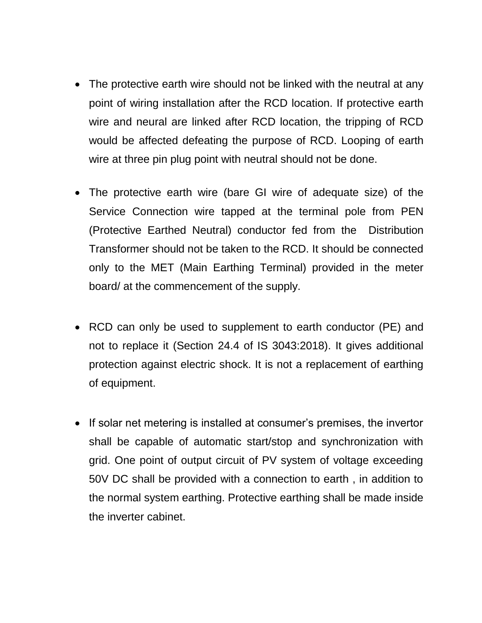- The protective earth wire should not be linked with the neutral at any point of wiring installation after the RCD location. If protective earth wire and neural are linked after RCD location, the tripping of RCD would be affected defeating the purpose of RCD. Looping of earth wire at three pin plug point with neutral should not be done.
- The protective earth wire (bare GI wire of adequate size) of the Service Connection wire tapped at the terminal pole from PEN (Protective Earthed Neutral) conductor fed from the Distribution Transformer should not be taken to the RCD. It should be connected only to the MET (Main Earthing Terminal) provided in the meter board/ at the commencement of the supply.
- RCD can only be used to supplement to earth conductor (PE) and not to replace it (Section 24.4 of IS 3043:2018). It gives additional protection against electric shock. It is not a replacement of earthing of equipment.
- If solar net metering is installed at consumer's premises, the invertor shall be capable of automatic start/stop and synchronization with grid. One point of output circuit of PV system of voltage exceeding 50V DC shall be provided with a connection to earth , in addition to the normal system earthing. Protective earthing shall be made inside the inverter cabinet.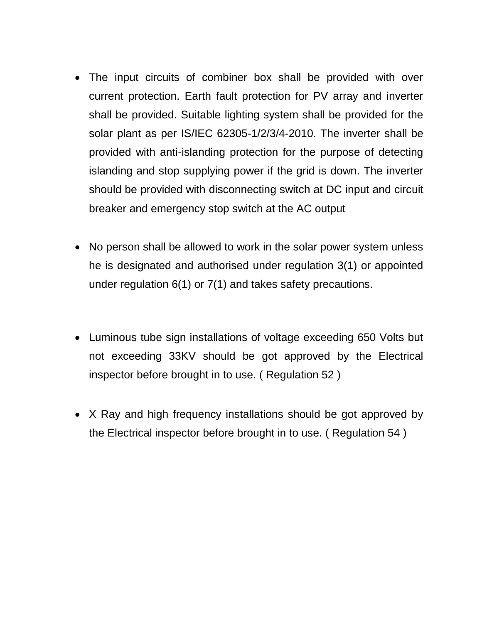- The input circuits of combiner box shall be provided with over current protection. Earth fault protection for PV array and inverter shall be provided. Suitable lighting system shall be provided for the solar plant as per IS/IEC 62305-1/2/3/4-2010. The inverter shall be provided with anti-islanding protection for the purpose of detecting islanding and stop supplying power if the grid is down. The inverter should be provided with disconnecting switch at DC input and circuit breaker and emergency stop switch at the AC output
- No person shall be allowed to work in the solar power system unless he is designated and authorised under regulation 3(1) or appointed under regulation 6(1) or 7(1) and takes safety precautions.
- Luminous tube sign installations of voltage exceeding 650 Volts but not exceeding 33KV should be got approved by the Electrical inspector before brought in to use. ( Regulation 52 )
- X Ray and high frequency installations should be got approved by the Electrical inspector before brought in to use. ( Regulation 54 )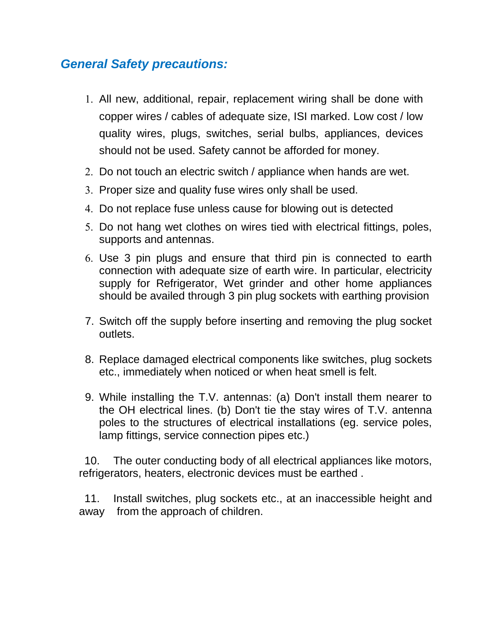## *General Safety precautions:*

- All new, additional, repair, replacement wiring shall be done with copper wires / cables of adequate size, ISI marked. Low cost / low quality wires, plugs, switches, serial bulbs, appliances, devices should not be used. Safety cannot be afforded for money.
- 2. Do not touch an electric switch / appliance when hands are wet.
- 3. Proper size and quality fuse wires only shall be used.
- Do not replace fuse unless cause for blowing out is detected
- 5. Do not hang wet clothes on wires tied with electrical fittings, poles, supports and antennas.
- Use 3 pin plugs and ensure that third pin is connected to earth connection with adequate size of earth wire. In particular, electricity supply for Refrigerator, Wet grinder and other home appliances should be availed through 3 pin plug sockets with earthing provision
- 7. Switch off the supply before inserting and removing the plug socket outlets.
- 8. Replace damaged electrical components like switches, plug sockets etc., immediately when noticed or when heat smell is felt.
- 9. While installing the T.V. antennas: (a) Don't install them nearer to the OH electrical lines. (b) Don't tie the stay wires of T.V. antenna poles to the structures of electrical installations (eg. service poles, lamp fittings, service connection pipes etc.)

10. The outer conducting body of all electrical appliances like motors, refrigerators, heaters, electronic devices must be earthed .

11. Install switches, plug sockets etc., at an inaccessible height and away from the approach of children.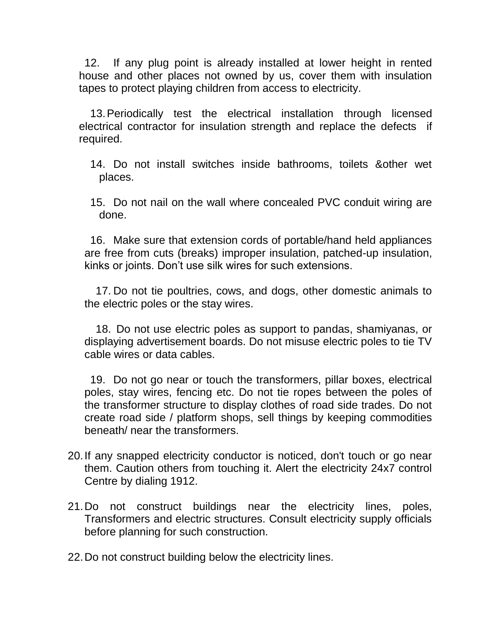12. If any plug point is already installed at lower height in rented house and other places not owned by us, cover them with insulation tapes to protect playing children from access to electricity.

13.Periodically test the electrical installation through licensed electrical contractor for insulation strength and replace the defects if required.

14. Do not install switches inside bathrooms, toilets &other wet places.

15. Do not nail on the wall where concealed PVC conduit wiring are done.

16. Make sure that extension cords of portable/hand held appliances are free from cuts (breaks) improper insulation, patched-up insulation, kinks or joints. Don't use silk wires for such extensions.

17. Do not tie poultries, cows, and dogs, other domestic animals to the electric poles or the stay wires.

18. Do not use electric poles as support to pandas, shamiyanas, or displaying advertisement boards. Do not misuse electric poles to tie TV cable wires or data cables.

19. Do not go near or touch the transformers, pillar boxes, electrical poles, stay wires, fencing etc. Do not tie ropes between the poles of the transformer structure to display clothes of road side trades. Do not create road side / platform shops, sell things by keeping commodities beneath/ near the transformers.

- 20.If any snapped electricity conductor is noticed, don't touch or go near them. Caution others from touching it. Alert the electricity 24x7 control Centre by dialing 1912.
- 21.Do not construct buildings near the electricity lines, poles, Transformers and electric structures. Consult electricity supply officials before planning for such construction.

22.Do not construct building below the electricity lines.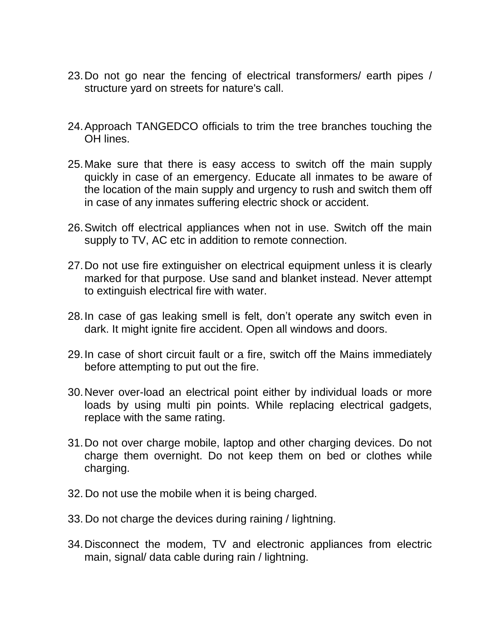- 23.Do not go near the fencing of electrical transformers/ earth pipes / structure yard on streets for nature's call.
- 24.Approach TANGEDCO officials to trim the tree branches touching the OH lines.
- 25.Make sure that there is easy access to switch off the main supply quickly in case of an emergency. Educate all inmates to be aware of the location of the main supply and urgency to rush and switch them off in case of any inmates suffering electric shock or accident.
- 26.Switch off electrical appliances when not in use. Switch off the main supply to TV, AC etc in addition to remote connection.
- 27.Do not use fire extinguisher on electrical equipment unless it is clearly marked for that purpose. Use sand and blanket instead. Never attempt to extinguish electrical fire with water.
- 28.In case of gas leaking smell is felt, don't operate any switch even in dark. It might ignite fire accident. Open all windows and doors.
- 29.In case of short circuit fault or a fire, switch off the Mains immediately before attempting to put out the fire.
- 30.Never over-load an electrical point either by individual loads or more loads by using multi pin points. While replacing electrical gadgets, replace with the same rating.
- 31.Do not over charge mobile, laptop and other charging devices. Do not charge them overnight. Do not keep them on bed or clothes while charging.
- 32. Do not use the mobile when it is being charged.
- 33. Do not charge the devices during raining / lightning.
- 34.Disconnect the modem, TV and electronic appliances from electric main, signal/ data cable during rain / lightning.